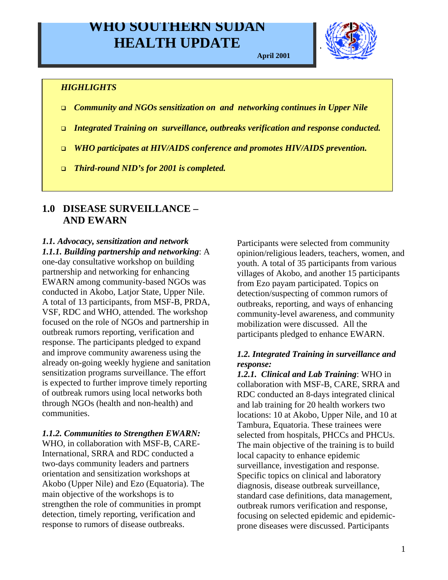# **WHO SOUTHERN SUDAN HEALTH UPDATE**

**April 2001**



### *HIGHLIGHTS*

- <sup>q</sup> *Community and NGOs sensitization on and networking continues in Upper Nile*
- <sup>q</sup> *Integrated Training on surveillance, outbreaks verification and response conducted.*
- <sup>q</sup> *WHO participates at HIV/AIDS conference and promotes HIV/AIDS prevention.*
- <sup>q</sup> *Third-round NID's for 2001 is completed.*

# **1.0 DISEASE SURVEILLANCE – AND EWARN**

#### *1.1. Advocacy, sensitization and network 1.1.1. Building partnership and networking*: A

one-day consultative workshop on building partnership and networking for enhancing EWARN among community-based NGOs was conducted in Akobo, Latjor State, Upper Nile. A total of 13 participants, from MSF-B, PRDA, VSF, RDC and WHO, attended. The workshop focused on the role of NGOs and partnership in outbreak rumors reporting, verification and response. The participants pledged to expand and improve community awareness using the already on-going weekly hygiene and sanitation sensitization programs surveillance. The effort is expected to further improve timely reporting of outbreak rumors using local networks both through NGOs (health and non-health) and communities.

### *1.1.2. Communities to Strengthen EWARN:*

WHO, in collaboration with MSF-B, CARE-International, SRRA and RDC conducted a two-days community leaders and partners orientation and sensitization workshops at Akobo (Upper Nile) and Ezo (Equatoria). The main objective of the workshops is to strengthen the role of communities in prompt detection, timely reporting, verification and response to rumors of disease outbreaks.

Participants were selected from community opinion/religious leaders, teachers, women, and youth. A total of 35 participants from various villages of Akobo, and another 15 participants from Ezo payam participated. Topics on detection/suspecting of common rumors of outbreaks, reporting, and ways of enhancing community-level awareness, and community mobilization were discussed. All the participants pledged to enhance EWARN.

## *1.2. Integrated Training in surveillance and response:*

*1.2.1. Clinical and Lab Training*: WHO in collaboration with MSF-B, CARE, SRRA and RDC conducted an 8-days integrated clinical and lab training for 20 health workers two locations: 10 at Akobo, Upper Nile, and 10 at Tambura, Equatoria. These trainees were selected from hospitals, PHCCs and PHCUs. The main objective of the training is to build local capacity to enhance epidemic surveillance, investigation and response. Specific topics on clinical and laboratory diagnosis, disease outbreak surveillance, standard case definitions, data management, outbreak rumors verification and response, focusing on selected epidemic and epidemicprone diseases were discussed. Participants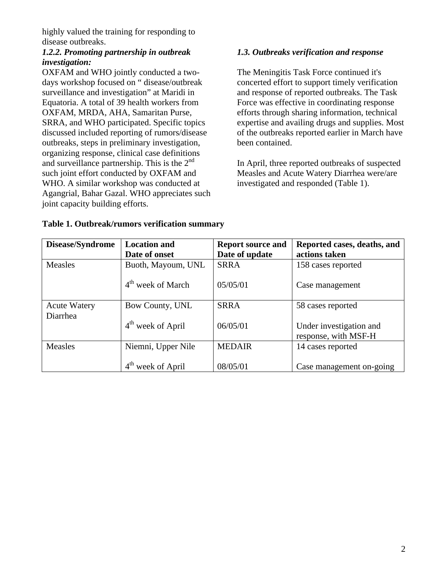highly valued the training for responding to disease outbreaks.

## *1.2.2. Promoting partnership in outbreak investigation:*

OXFAM and WHO jointly conducted a twodays workshop focused on " disease/outbreak surveillance and investigation" at Maridi in Equatoria. A total of 39 health workers from OXFAM, MRDA, AHA, Samaritan Purse, SRRA, and WHO participated. Specific topics discussed included reporting of rumors/disease outbreaks, steps in preliminary investigation, organizing response, clinical case definitions and surveillance partnership. This is the  $2<sup>nd</sup>$ such joint effort conducted by OXFAM and WHO. A similar workshop was conducted at Agangrial, Bahar Gazal. WHO appreciates such joint capacity building efforts.

# *1.3. Outbreaks verification and response*

The Meningitis Task Force continued it's concerted effort to support timely verification and response of reported outbreaks. The Task Force was effective in coordinating response efforts through sharing information, technical expertise and availing drugs and supplies. Most of the outbreaks reported earlier in March have been contained.

In April, three reported outbreaks of suspected Measles and Acute Watery Diarrhea were/are investigated and responded (Table 1).

| Disease/Syndrome                | <b>Location and</b><br>Date of onset | <b>Report source and</b><br>Date of update | Reported cases, deaths, and<br>actions taken    |
|---------------------------------|--------------------------------------|--------------------------------------------|-------------------------------------------------|
| Measles                         | Buoth, Mayoum, UNL                   | <b>SRRA</b>                                | 158 cases reported                              |
|                                 | $4th$ week of March                  | 05/05/01                                   | Case management                                 |
| <b>Acute Watery</b><br>Diarrhea | Bow County, UNL                      | <b>SRRA</b>                                | 58 cases reported                               |
|                                 | $4th$ week of April                  | 06/05/01                                   | Under investigation and<br>response, with MSF-H |
| Measles                         | Niemni, Upper Nile                   | <b>MEDAIR</b>                              | 14 cases reported                               |
|                                 | week of April                        | 08/05/01                                   | Case management on-going                        |

## **Table 1. Outbreak/rumors verification summary**